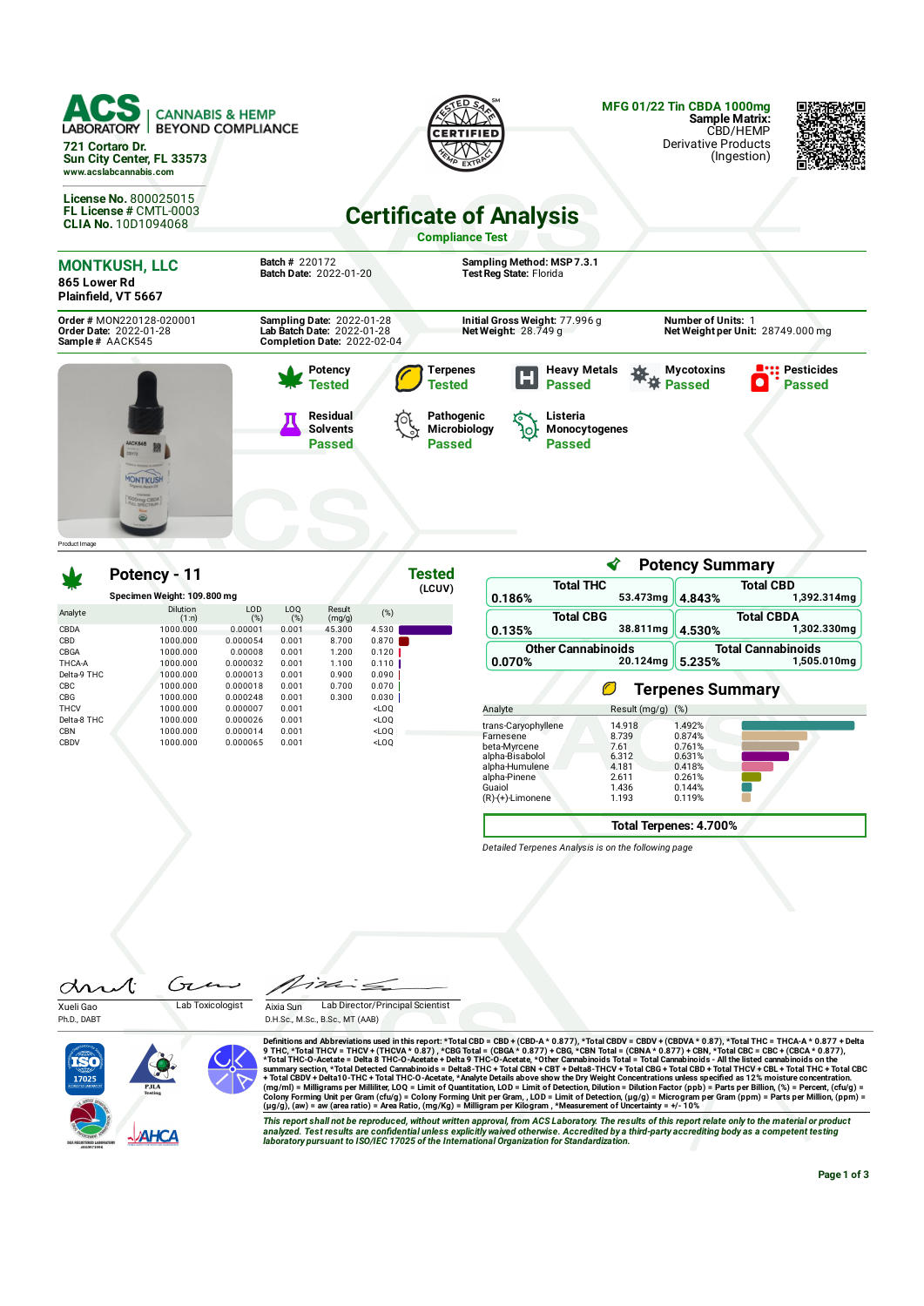| ACS<br><b>CANNABIS &amp; HEMP</b><br><b>LABORATORY</b><br><b>BEYOND COMPLIANCE</b><br>721 Cortaro Dr.<br>Sun City Center, FL 33573<br>www.acslabcannabis.com |                                                                                        |                                                                                           |                                                                 | <b>MFG 01/22 Tin CBDA 1000mg</b><br><b>Sample Matrix:</b><br>CBD/HEMP<br><b>Derivative Products</b><br>(Ingestion) |                                    |
|--------------------------------------------------------------------------------------------------------------------------------------------------------------|----------------------------------------------------------------------------------------|-------------------------------------------------------------------------------------------|-----------------------------------------------------------------|--------------------------------------------------------------------------------------------------------------------|------------------------------------|
| <b>License No. 800025015</b><br>FL License # CMTL-0003<br><b>CLIA No. 10D1094068</b>                                                                         |                                                                                        | <b>Certificate of Analysis</b><br><b>Compliance Test</b>                                  |                                                                 |                                                                                                                    |                                    |
| <b>MONTKUSH, LLC</b><br>865 Lower Rd<br>Plainfield, VT 5667                                                                                                  | <b>Batch # 220172</b><br>Batch Date: 2022-01-20                                        | Sampling Method: MSP 7.3.1<br>Test Reg State: Florida                                     |                                                                 |                                                                                                                    |                                    |
| Order # MON220128-020001<br>Order Date: 2022-01-28<br>Sample# AACK545                                                                                        | Sampling Date: 2022-01-28<br>Lab Batch Date: 2022-01-28<br>Completion Date: 2022-02-04 | Initial Gross Weight: 77.996 g<br>Net Weight: $28.749$ g                                  |                                                                 | <b>Number of Units: 1</b><br>Net Weight per Unit: 28749.000 mg                                                     |                                    |
| Product I mage                                                                                                                                               | Potency<br>Tested<br><b>Residual</b><br><b>Solvents</b><br><b>Passed</b>               | Terpenes<br>Н<br><b>Tested</b><br>Pathogenic<br>Listeria<br>Microbiology<br>ło,<br>Passed | <b>Heavy Metals</b><br><b>Passed</b><br>Monocytogenes<br>Passed | <b>Mycotoxins</b><br><b>Passed</b>                                                                                 | <b>Pesticides</b><br><b>Passed</b> |

|             | Potency - 11                |            |                        |                  |                              | <b>Tested</b> |
|-------------|-----------------------------|------------|------------------------|------------------|------------------------------|---------------|
|             | Specimen Weight: 109.800 mg |            |                        |                  |                              | (LCUV)        |
| Analyte     | <b>Dilution</b><br>(1:n)    | LOD<br>(%) | LO <sub>0</sub><br>(%) | Result<br>(mg/g) | (%)                          |               |
| CBDA        | 1000.000                    | 0.00001    | 0.001                  | 45.300           | 4.530                        |               |
| CBD         | 1000.000                    | 0.000054   | 0.001                  | 8.700            | 0.870                        |               |
| CBGA        | 1000.000                    | 0.00008    | 0.001                  | 1.200            | 0.120                        |               |
| THCA-A      | 1000.000                    | 0.000032   | 0.001                  | 1.100            | 0.110                        |               |
| Delta-9 THC | 1000.000                    | 0.000013   | 0.001                  | 0.900            | 0.090                        |               |
| CBC         | 1000.000                    | 0.000018   | 0.001                  | 0.700            | 0.070                        |               |
| CBG         | 1000.000                    | 0.000248   | 0.001                  | 0.300            | 0.030                        |               |
| <b>THCV</b> | 1000.000                    | 0.000007   | 0.001                  |                  | <loo< td=""><td></td></loo<> |               |
| Delta-8 THC | 1000.000                    | 0.000026   | 0.001                  |                  | $<$ LOO                      |               |
| <b>CBN</b>  | 1000.000                    | 0.000014   | 0.001                  |                  | $<$ LOO                      |               |
| CBDV        | 1000.000                    | 0.000065   | 0.001                  |                  | <loo< td=""><td></td></loo<> |               |

| <b>Total THC</b><br>0.186%                                        | 53.473mg        | 4.843%                    | <b>Total CBD</b><br>1,392.314mg |  |
|-------------------------------------------------------------------|-----------------|---------------------------|---------------------------------|--|
| <b>Total CBG</b>                                                  |                 |                           | <b>Total CBDA</b>               |  |
| 0.135%                                                            | 38.811mg        | 4.530%                    | 1.302.330ma                     |  |
| <b>Other Cannabinoids</b>                                         |                 | <b>Total Cannabinoids</b> |                                 |  |
| 0.070%                                                            | 20.124mg        | 5.235%                    | 1,505.010mg                     |  |
|                                                                   | $\sqrt{2}$      | <b>Terpenes Summary</b>   |                                 |  |
| Analyte                                                           |                 | (%)                       |                                 |  |
|                                                                   | Result (mg/g)   |                           |                                 |  |
| trans-Caryophyllene<br>Farnesene                                  | 14.918<br>8.739 | 1.492%<br>0.874%          |                                 |  |
|                                                                   | 7.61            | 0.761%                    |                                 |  |
|                                                                   | 6.312           | 0.631%                    |                                 |  |
|                                                                   | 4.181           | 0.418%                    |                                 |  |
| beta-Myrcene<br>alpha-Bisabolol<br>alpha-Humulene<br>alpha-Pinene | 2.611           | 0.261%                    |                                 |  |
| Guaiol<br>(R)-(+)-Limonene                                        | 1.436<br>1.193  | 0.144%<br>0.119%          |                                 |  |

∢

**Potency Summary**

**Total Terpenes: 4.700%**

*Detailed Terpenes Analysis is on the following page*

Ćτ Æ an Xueli Gao Lab Toxicologist

126 Aixia Sun Lab Director/Principal Scientist

 $\tilde{\cdot} =$ 

Ph.D., DABT



Definitions and Abbreviations used in this report: \*Total CBD = CBD + (CBD-A \* 0.877) \*Total CBDV + CBDV + (CBDVA \* 0.87), \*Total THC = THCA-A \* 0.877 + Delta<br>9 THC, \*Total THC = THCA-A \* 0.877 + Delta CBD = CBD + (CBD-A

This report shall not be reproduced, without written approval, from ACS Laboratory. The results of this report relate only to the material or product<br>analyzed. Test results are confidential unless explicitly waived otherwi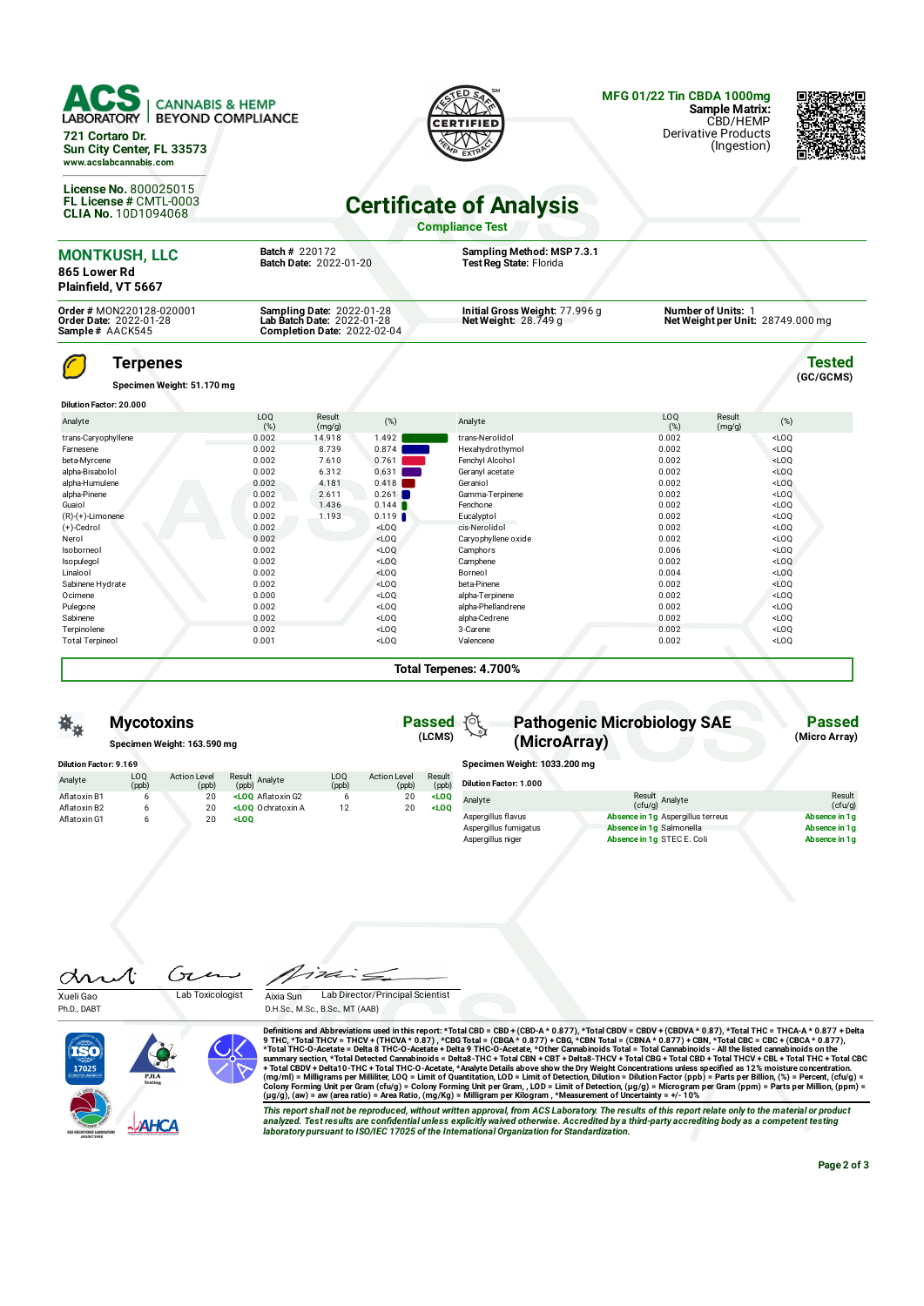| <b>CANNABIS &amp; HEMP</b><br><b>LABORATORY</b><br><b>BEYOND COMPLIANCE</b><br>721 Cortaro Dr.<br>Sun City Center, FL 33573<br>www.acslabcannabis.com<br>License No. 800025015<br>FL License # CMTL-0003<br><b>CLIA No. 10D1094068</b> |                |                                                                                        |                                                                       | CEDTIEIE<br><b>Certificate of Analysis</b>                          | <b>MFG 01/22 Tin CBDA 1000mg</b><br>Sample Matrix:<br>CBD/HEMP<br><b>Derivative Products</b><br>(Ingestion) |                            |
|----------------------------------------------------------------------------------------------------------------------------------------------------------------------------------------------------------------------------------------|----------------|----------------------------------------------------------------------------------------|-----------------------------------------------------------------------|---------------------------------------------------------------------|-------------------------------------------------------------------------------------------------------------|----------------------------|
|                                                                                                                                                                                                                                        |                | Batch # 220172                                                                         |                                                                       | <b>Compliance Test</b><br>Sampling Method: MSP 7.3.1                |                                                                                                             |                            |
| <b>MONTKUSH, LLC</b><br>865 Lower Rd<br>Plainfield, VT 5667                                                                                                                                                                            |                | Batch Date: 2022-01-20                                                                 |                                                                       | Test Reg State: Florida                                             |                                                                                                             |                            |
| Order # MON220128-020001<br><b>Order Date: 2022-01-28</b><br>Sample# AACK545                                                                                                                                                           |                | Sampling Date: 2022-01-28<br>Lab Batch Date: 2022-01-28<br>Completion Date: 2022-02-04 |                                                                       | Initial Gross Weight: 77.996 g<br>Net Weight: $28.\overline{7}49$ g | <b>Number of Units: 1</b><br>Net Weight per Unit: 28749.000 mg                                              |                            |
| Terpenes<br>Specimen Weight: 51.170 mg                                                                                                                                                                                                 |                |                                                                                        |                                                                       |                                                                     |                                                                                                             | <b>Tested</b><br>(GC/GCMS) |
| Dilution Factor: 20.000                                                                                                                                                                                                                |                |                                                                                        |                                                                       |                                                                     |                                                                                                             |                            |
| Analyte                                                                                                                                                                                                                                | LOQ<br>(%)     | Result<br>(mg/g)                                                                       | (%)                                                                   | Analyte                                                             | L <sub>O</sub> Q<br>Result<br>(%)<br>(mq/q)                                                                 | (%)                        |
| trans-Caryophyllene                                                                                                                                                                                                                    | 0.002          | 14.918                                                                                 | 1.492                                                                 | trans-Nerolidol                                                     | 0.002                                                                                                       | LOO                        |
| Farnesene                                                                                                                                                                                                                              | 0.002          | 8.739                                                                                  | 0.874                                                                 | Hexahydrothymol                                                     | 0.002                                                                                                       | $<$ LOQ                    |
| beta-Mvrcene                                                                                                                                                                                                                           | 0.002          | 7.610                                                                                  | 0.761                                                                 | Fenchyl Alcohol                                                     | 0.002                                                                                                       | $<$ LOO                    |
| alpha-Bisabolol                                                                                                                                                                                                                        | 0.002          | 6.312                                                                                  | 0.631                                                                 | Geranyl acetate                                                     | 0.002                                                                                                       | LOO                        |
| alpha-Humulene                                                                                                                                                                                                                         | 0.002          | 4.181                                                                                  | 0.418                                                                 | Geraniol                                                            | 0.002                                                                                                       | LOO                        |
| alpha-Pinene                                                                                                                                                                                                                           | 0.002          | 2.611                                                                                  | 0.261                                                                 | Gamma-Terpinene                                                     | 0.002                                                                                                       | LOO                        |
| Guaiol                                                                                                                                                                                                                                 | 0.002          | 1.436                                                                                  | 0.144                                                                 | Fenchone                                                            | 0.002                                                                                                       | $<$ LOQ                    |
| $(R)-(+)$ -Limonene                                                                                                                                                                                                                    | 0.002          | 1.193                                                                                  | 0.119                                                                 | Eucalyptol                                                          | 0.002                                                                                                       | $<$ LOO                    |
| $(+)$ -Cedrol                                                                                                                                                                                                                          | 0.002          |                                                                                        | $<$ LOQ                                                               | cis-Nerolidol                                                       | 0.002                                                                                                       | LOO                        |
| Nerol                                                                                                                                                                                                                                  | 0.002          |                                                                                        | $<$ LOQ                                                               | Caryophyllene oxide                                                 | 0.002                                                                                                       | LOO                        |
| Isoborneol                                                                                                                                                                                                                             | 0.002          |                                                                                        | $<$ LOQ                                                               | Camphors                                                            | 0.006                                                                                                       | $<$ LOQ                    |
| Isopulegol                                                                                                                                                                                                                             | 0.002          |                                                                                        | $<$ LOO                                                               | Camphene                                                            | 0.002                                                                                                       | $<$ LOO                    |
| Linalool                                                                                                                                                                                                                               | 0.002          |                                                                                        | $<$ LOQ                                                               | Borneol                                                             | 0.004                                                                                                       | $<$ LOQ                    |
| Sabinene Hydrate                                                                                                                                                                                                                       | 0.002          |                                                                                        | $<$ LOO                                                               | beta-Pinene                                                         | 0.002                                                                                                       | $<$ LOQ                    |
| Ocimene                                                                                                                                                                                                                                | 0.000          |                                                                                        | <loq< td=""><td>alpha-Terpinene</td><td>0.002</td><td>LOO</td></loq<> | alpha-Terpinene                                                     | 0.002                                                                                                       | LOO                        |
| Pulegone                                                                                                                                                                                                                               | 0.002          |                                                                                        | $<$ LOQ                                                               | alpha-Phellandrene                                                  | 0.002                                                                                                       | $<$ LOO                    |
| Sabinene                                                                                                                                                                                                                               | 0.002          |                                                                                        | $<$ LOQ                                                               | alpha-Cedrene                                                       | 0.002                                                                                                       | LOO                        |
|                                                                                                                                                                                                                                        |                |                                                                                        | $<$ LOQ                                                               | 3-Carene                                                            | 0.002                                                                                                       | $<$ LOQ                    |
| Terpinolene<br><b>Total Terpineol</b>                                                                                                                                                                                                  | 0.002<br>0.001 |                                                                                        | $<$ LOQ                                                               | Valencene                                                           | 0.002                                                                                                       | $<$ LOQ                    |

**Total Terpenes: 4.700%**

**(LCMS)**

Result  $(ppb)$ <br>< $LOQ$ 

Action Level  $(ppb)$ <br>20

LOQ (ppb)

Aflatoxin G2 6 20 **<LOQ** Ochratoxin A 12 20 **<LOQ**

Result (ppb) Analyte

## **Passed Pathogenic Microbiology SAE (MicroArray)**

**Specimen Weight: 1033.200 mg**

| Dilution Factor: 1.000 |                                   |                   |
|------------------------|-----------------------------------|-------------------|
| Analyte                | Result<br>(cfu/g) Analyte         | Result<br>(ctu/q) |
| Aspergillus flavus     | Absence in 1q Aspergillus terreus | Absence in 1q     |
| Aspergillus fumigatus  | Absence in 1q Salmonella          | Absence in 1q     |
| Aspergillus niger      | Absence in 1g STEC E. Coli        | Absence in 1a     |
|                        |                                   |                   |

Gτ dr  $\mathcal{N}% _{0}=\mathcal{N}_{\mathrm{CL}}\times\mathcal{N}_{\mathrm{CL}}$ Xueli Gao Lab Toxicologist

**Mycotoxins Specimen Weight: 163.590 mg**

> Action Level  $(ppb)$ <br>20

LOQ (ppb)

Aflatoxin B1 (a) 20<br>Aflatoxin B2 (a) 20<br>Aflatoxin G1 (b) 20<br>20 Aatoxin B2 6 20 **<LOQ** Aatoxin G1 6 20 **<LOQ**

**Dilution Factor: 9.169**

Analyte

Ph.D., DABT

Aixia Sun Lab Director/Principal Scientist D.H.Sc., M.Sc., B.Sc., MT (AAB)



Definitions and Abbreviations used in this report: \*Total CBD = CBD + (CBD-A \* 0.877), \*Total THCA \* 0.87), \*Total THC-B THCA + 0.877 + CBD + (CBDA \* 0.877), \*Total THCA + 0.877), \*Total THCA + 0.977 + CBD + (THCAA \* 0.87

This report shall not be reproduced, without written approval, from ACS Laboratory. The results of this report relate only to the material or product<br>analyzed. Test results are confidential unless explicitly waived otherwi

**Passed (Micro Array)**